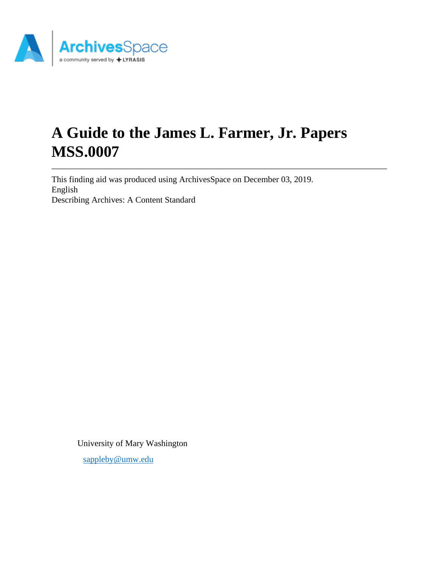

# **A Guide to the James L. Farmer, Jr. Papers MSS.0007**

This finding aid was produced using ArchivesSpace on December 03, 2019. English Describing Archives: A Content Standard

University of Mary Washington

[sappleby@umw.edu](mailto:sappleby@umw.edu)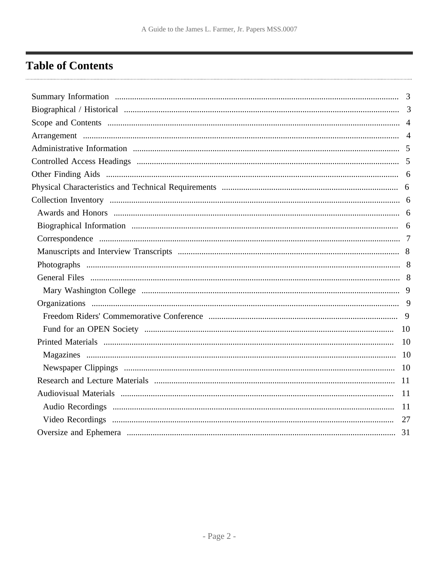## <span id="page-1-0"></span>**Table of Contents**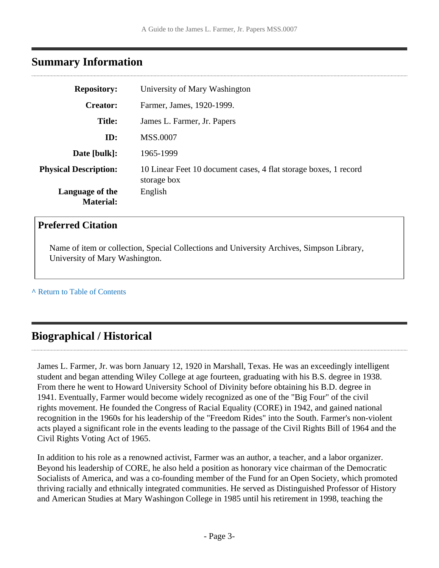### <span id="page-2-0"></span>**Summary Information**

| <b>Repository:</b>                  | University of Mary Washington                                                   |
|-------------------------------------|---------------------------------------------------------------------------------|
| <b>Creator:</b>                     | Farmer, James, 1920-1999.                                                       |
| <b>Title:</b>                       | James L. Farmer, Jr. Papers                                                     |
| ID:                                 | <b>MSS.0007</b>                                                                 |
| Date [bulk]:                        | 1965-1999                                                                       |
| <b>Physical Description:</b>        | 10 Linear Feet 10 document cases, 4 flat storage boxes, 1 record<br>storage box |
| Language of the<br><b>Material:</b> | English                                                                         |

### **Preferred Citation**

Name of item or collection, Special Collections and University Archives, Simpson Library, University of Mary Washington.

**^** [Return to Table of Contents](#page-1-0)

### <span id="page-2-1"></span>**Biographical / Historical**

James L. Farmer, Jr. was born January 12, 1920 in Marshall, Texas. He was an exceedingly intelligent student and began attending Wiley College at age fourteen, graduating with his B.S. degree in 1938. From there he went to Howard University School of Divinity before obtaining his B.D. degree in 1941. Eventually, Farmer would become widely recognized as one of the "Big Four" of the civil rights movement. He founded the Congress of Racial Equality (CORE) in 1942, and gained national recognition in the 1960s for his leadership of the "Freedom Rides" into the South. Farmer's non-violent acts played a significant role in the events leading to the passage of the Civil Rights Bill of 1964 and the Civil Rights Voting Act of 1965.

In addition to his role as a renowned activist, Farmer was an author, a teacher, and a labor organizer. Beyond his leadership of CORE, he also held a position as honorary vice chairman of the Democratic Socialists of America, and was a co-founding member of the Fund for an Open Society, which promoted thriving racially and ethnically integrated communities. He served as Distinguished Professor of History and American Studies at Mary Washingon College in 1985 until his retirement in 1998, teaching the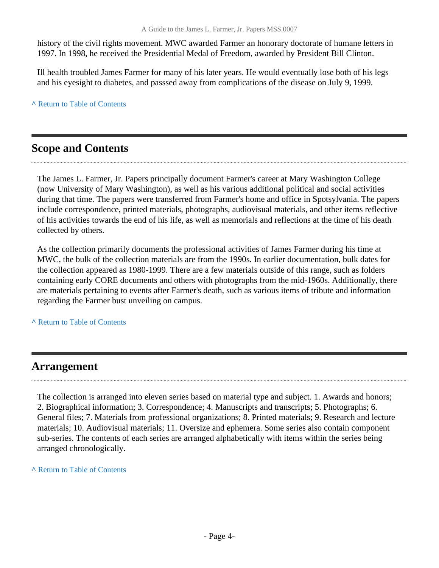history of the civil rights movement. MWC awarded Farmer an honorary doctorate of humane letters in 1997. In 1998, he received the Presidential Medal of Freedom, awarded by President Bill Clinton.

Ill health troubled James Farmer for many of his later years. He would eventually lose both of his legs and his eyesight to diabetes, and passsed away from complications of the disease on July 9, 1999.

**^** [Return to Table of Contents](#page-1-0)

## <span id="page-3-0"></span>**Scope and Contents**

The James L. Farmer, Jr. Papers principally document Farmer's career at Mary Washington College (now University of Mary Washington), as well as his various additional political and social activities during that time. The papers were transferred from Farmer's home and office in Spotsylvania. The papers include correspondence, printed materials, photographs, audiovisual materials, and other items reflective of his activities towards the end of his life, as well as memorials and reflections at the time of his death collected by others.

As the collection primarily documents the professional activities of James Farmer during his time at MWC, the bulk of the collection materials are from the 1990s. In earlier documentation, bulk dates for the collection appeared as 1980-1999. There are a few materials outside of this range, such as folders containing early CORE documents and others with photographs from the mid-1960s. Additionally, there are materials pertaining to events after Farmer's death, such as various items of tribute and information regarding the Farmer bust unveiling on campus.

**^** [Return to Table of Contents](#page-1-0)

### <span id="page-3-1"></span>**Arrangement**

The collection is arranged into eleven series based on material type and subject. 1. Awards and honors; 2. Biographical information; 3. Correspondence; 4. Manuscripts and transcripts; 5. Photographs; 6. General files; 7. Materials from professional organizations; 8. Printed materials; 9. Research and lecture materials; 10. Audiovisual materials; 11. Oversize and ephemera. Some series also contain component sub-series. The contents of each series are arranged alphabetically with items within the series being arranged chronologically.

**^** [Return to Table of Contents](#page-1-0)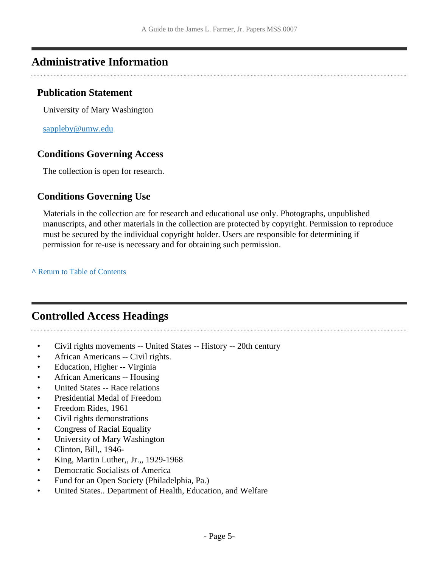### <span id="page-4-0"></span>**Administrative Information**

### **Publication Statement**

University of Mary Washington

[sappleby@umw.edu](mailto:sappleby@umw.edu)

### **Conditions Governing Access**

The collection is open for research.

### **Conditions Governing Use**

Materials in the collection are for research and educational use only. Photographs, unpublished manuscripts, and other materials in the collection are protected by copyright. Permission to reproduce must be secured by the individual copyright holder. Users are responsible for determining if permission for re-use is necessary and for obtaining such permission.

**^** [Return to Table of Contents](#page-1-0)

## <span id="page-4-1"></span>**Controlled Access Headings**

- Civil rights movements -- United States -- History -- 20th century
- African Americans -- Civil rights.
- Education, Higher -- Virginia
- African Americans -- Housing
- United States -- Race relations
- Presidential Medal of Freedom
- Freedom Rides, 1961
- Civil rights demonstrations
- Congress of Racial Equality
- University of Mary Washington
- Clinton, Bill,, 1946-
- King, Martin Luther, Jr.,, 1929-1968
- Democratic Socialists of America
- Fund for an Open Society (Philadelphia, Pa.)
- United States.. Department of Health, Education, and Welfare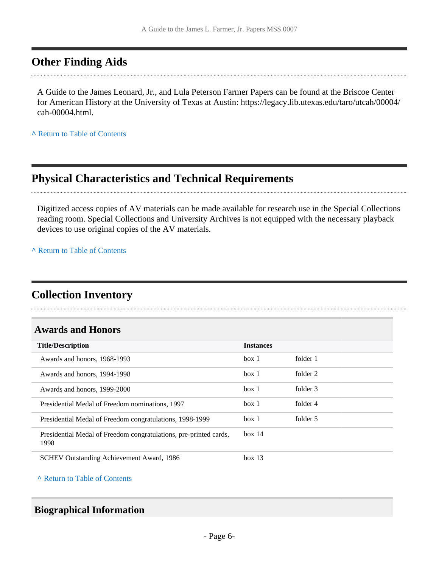### <span id="page-5-0"></span>**Other Finding Aids**

A Guide to the James Leonard, Jr., and Lula Peterson Farmer Papers can be found at the Briscoe Center for American History at the University of Texas at Austin: https://legacy.lib.utexas.edu/taro/utcah/00004/ cah-00004.html.

**^** [Return to Table of Contents](#page-1-0)

### <span id="page-5-1"></span>**Physical Characteristics and Technical Requirements**

Digitized access copies of AV materials can be made available for research use in the Special Collections reading room. Special Collections and University Archives is not equipped with the necessary playback devices to use original copies of the AV materials.

**^** [Return to Table of Contents](#page-1-0)

## <span id="page-5-2"></span>**Collection Inventory**

### <span id="page-5-3"></span>**Awards and Honors**

| <b>Title/Description</b>                                                  | <b>Instances</b> |          |
|---------------------------------------------------------------------------|------------------|----------|
| Awards and honors, 1968-1993                                              | box 1            | folder 1 |
| Awards and honors, 1994-1998                                              | box 1            | folder 2 |
| Awards and honors, 1999-2000                                              | box 1            | folder 3 |
| Presidential Medal of Freedom nominations, 1997                           | box 1            | folder 4 |
| Presidential Medal of Freedom congratulations, 1998-1999                  | box 1            | folder 5 |
| Presidential Medal of Freedom congratulations, pre-printed cards,<br>1998 | box 14           |          |
| <b>SCHEV Outstanding Achievement Award, 1986</b>                          | box 13           |          |

**^** [Return to Table of Contents](#page-1-0)

### <span id="page-5-4"></span>**Biographical Information**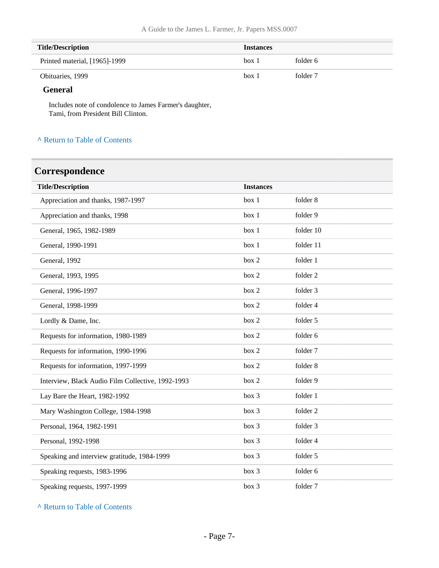| <b>Title/Description</b>      | <b>Instances</b> |          |
|-------------------------------|------------------|----------|
| Printed material, [1965]-1999 | box 1            | folder 6 |
| Obituaries, 1999              | $box$ 1          | folder 7 |

#### **General**

L

Includes note of condolence to James Farmer's daughter, Tami, from President Bill Clinton.

#### **^** [Return to Table of Contents](#page-1-0)

## <span id="page-6-0"></span>**Correspondence**

| <b>Title/Description</b>                          | <b>Instances</b> |           |
|---------------------------------------------------|------------------|-----------|
| Appreciation and thanks, 1987-1997                | box 1            | folder 8  |
| Appreciation and thanks, 1998                     | box 1            | folder 9  |
| General, 1965, 1982-1989                          | box 1            | folder 10 |
| General, 1990-1991                                | box 1            | folder 11 |
| General, 1992                                     | box 2            | folder 1  |
| General, 1993, 1995                               | box 2            | folder 2  |
| General, 1996-1997                                | box 2            | folder 3  |
| General, 1998-1999                                | box 2            | folder 4  |
| Lordly & Dame, Inc.                               | box 2            | folder 5  |
| Requests for information, 1980-1989               | box 2            | folder 6  |
| Requests for information, 1990-1996               | box 2            | folder 7  |
| Requests for information, 1997-1999               | box 2            | folder 8  |
| Interview, Black Audio Film Collective, 1992-1993 | box 2            | folder 9  |
| Lay Bare the Heart, 1982-1992                     | box 3            | folder 1  |
| Mary Washington College, 1984-1998                | box 3            | folder 2  |
| Personal, 1964, 1982-1991                         | box 3            | folder 3  |
| Personal, 1992-1998                               | box 3            | folder 4  |
| Speaking and interview gratitude, 1984-1999       | box 3            | folder 5  |
| Speaking requests, 1983-1996                      | box 3            | folder 6  |
| Speaking requests, 1997-1999                      | box 3            | folder 7  |

**^** [Return to Table of Contents](#page-1-0)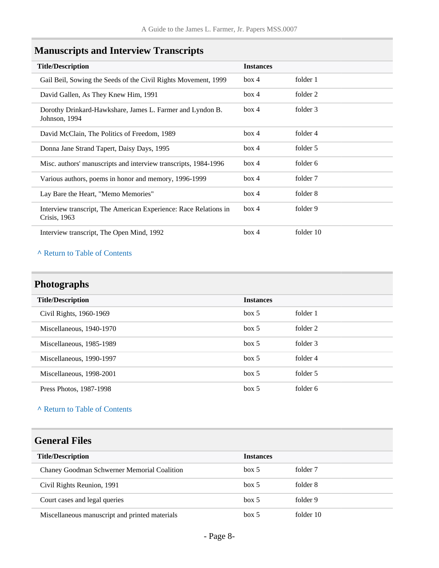<span id="page-7-0"></span>

|  | <b>Manuscripts and Interview Transcripts</b> |  |  |  |
|--|----------------------------------------------|--|--|--|
|--|----------------------------------------------|--|--|--|

| <b>Title/Description</b>                                                         | <b>Instances</b> |           |
|----------------------------------------------------------------------------------|------------------|-----------|
| Gail Beil, Sowing the Seeds of the Civil Rights Movement, 1999                   | box 4            | folder 1  |
| David Gallen, As They Knew Him, 1991                                             | box 4            | folder 2  |
| Dorothy Drinkard-Hawkshare, James L. Farmer and Lyndon B.<br>Johnson, 1994       | box 4            | folder 3  |
| David McClain, The Politics of Freedom, 1989                                     | box 4            | folder 4  |
| Donna Jane Strand Tapert, Daisy Days, 1995                                       | box 4            | folder 5  |
| Misc. authors' manuscripts and interview transcripts, 1984-1996                  | box 4            | folder 6  |
| Various authors, poems in honor and memory, 1996-1999                            | box 4            | folder 7  |
| Lay Bare the Heart, "Memo Memories"                                              | box 4            | folder 8  |
| Interview transcript, The American Experience: Race Relations in<br>Crisis, 1963 | box 4            | folder 9  |
| Interview transcript, The Open Mind, 1992                                        | box 4            | folder 10 |

### **^** [Return to Table of Contents](#page-1-0)

## <span id="page-7-1"></span>**Photographs**

| <b>Title/Description</b> | <b>Instances</b> |          |
|--------------------------|------------------|----------|
| Civil Rights, 1960-1969  | box~5            | folder 1 |
| Miscellaneous, 1940-1970 | box 5            | folder 2 |
| Miscellaneous, 1985-1989 | box~5            | folder 3 |
| Miscellaneous, 1990-1997 | box~5            | folder 4 |
| Miscellaneous, 1998-2001 | box~5            | folder 5 |
| Press Photos, 1987-1998  | box~5            | folder 6 |

### **^** [Return to Table of Contents](#page-1-0)

## <span id="page-7-2"></span>**General Files**

| <b>Title/Description</b>                       | <b>Instances</b> |           |
|------------------------------------------------|------------------|-----------|
| Chaney Goodman Schwerner Memorial Coalition    | box 5            | folder 7  |
| Civil Rights Reunion, 1991                     | box 5            | folder 8  |
| Court cases and legal queries                  | box 5            | folder 9  |
| Miscellaneous manuscript and printed materials | box 5            | folder 10 |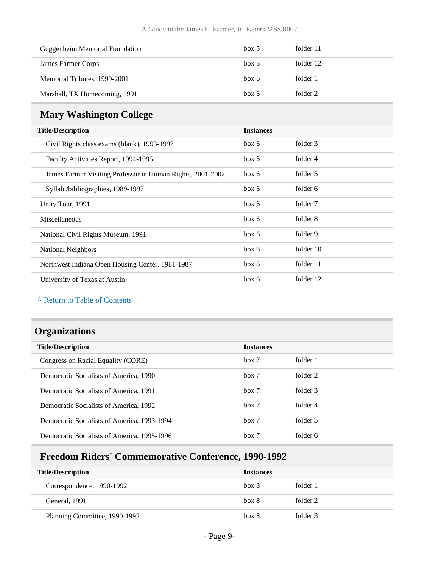| <b>Guggenheim Memorial Foundation</b> | box~5 | folder 11 |
|---------------------------------------|-------|-----------|
| James Farmer Corps                    | box 5 | folder 12 |
| Memorial Tributes, 1999-2001          | box 6 | folder 1  |
| Marshall, TX Homecoming, 1991         | box 6 | folder 2  |

## <span id="page-8-0"></span>**Mary Washington College**

| <b>Title/Description</b>                                   | <b>Instances</b> |           |
|------------------------------------------------------------|------------------|-----------|
| Civil Rights class exams (blank), 1993-1997                | box 6            | folder 3  |
| Faculty Activities Report, 1994-1995                       | box 6            | folder 4  |
| James Farmer Visiting Professor in Human Rights, 2001-2002 | box 6            | folder 5  |
| Syllabi/bibliographies, 1989-1997                          | box 6            | folder 6  |
| Unity Tour, 1991                                           | box 6            | folder 7  |
| Miscellaneous                                              | box 6            | folder 8  |
| National Civil Rights Museum, 1991                         | box 6            | folder 9  |
| National Neighbors                                         | box 6            | folder 10 |
| Northwest Indiana Open Housing Center, 1981-1987           | box 6            | folder 11 |
| University of Texas at Austin                              | box 6            | folder 12 |

#### **^** [Return to Table of Contents](#page-1-0)

### <span id="page-8-1"></span>**Organizations**

| <b>Title/Description</b>                    | <b>Instances</b> |          |
|---------------------------------------------|------------------|----------|
| Congress on Racial Equality (CORE)          | box 7            | folder 1 |
| Democratic Socialists of America, 1990      | box 7            | folder 2 |
| Democratic Socialists of America, 1991      | box 7            | folder 3 |
| Democratic Socialists of America, 1992      | box 7            | folder 4 |
| Democratic Socialists of America, 1993-1994 | box 7            | folder 5 |
| Democratic Socialists of America, 1995-1996 | box 7            | folder 6 |

## <span id="page-8-2"></span>**Freedom Riders' Commemorative Conference, 1990-1992**

| <b>Title/Description</b>      | <b>Instances</b> |          |
|-------------------------------|------------------|----------|
| Correspondence, 1990-1992     | box 8            | folder 1 |
| General, 1991                 | box 8            | folder 2 |
| Planning Committee, 1990-1992 | box 8            | folder 3 |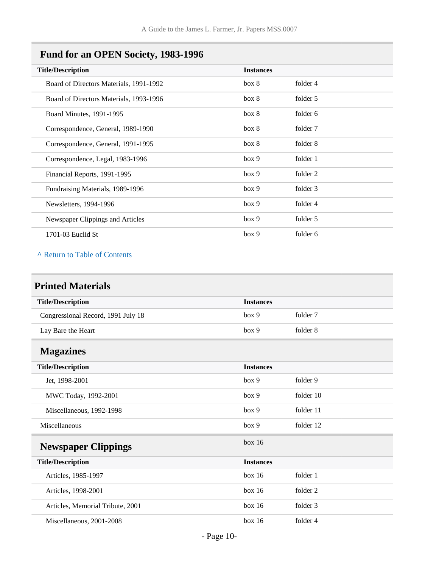## <span id="page-9-0"></span>**Fund for an OPEN Society, 1983-1996**

| <b>Instances</b> |          |
|------------------|----------|
| box 8            | folder 4 |
| box 8            | folder 5 |
| box 8            | folder 6 |
| box 8            | folder 7 |
| box 8            | folder 8 |
| box 9            | folder 1 |
| box 9            | folder 2 |
| box 9            | folder 3 |
| box 9            | folder 4 |
| box 9            | folder 5 |
| box 9            | folder 6 |
|                  |          |

#### **^** [Return to Table of Contents](#page-1-0)

## <span id="page-9-1"></span>**Printed Materials**

<span id="page-9-3"></span><span id="page-9-2"></span>

| <b>Title/Description</b>           | <b>Instances</b> |           |
|------------------------------------|------------------|-----------|
| Congressional Record, 1991 July 18 | box 9            | folder 7  |
| Lay Bare the Heart                 | box 9            | folder 8  |
| <b>Magazines</b>                   |                  |           |
| <b>Title/Description</b>           | <b>Instances</b> |           |
| Jet, 1998-2001                     | box 9            | folder 9  |
| MWC Today, 1992-2001               | box 9            | folder 10 |
| Miscellaneous, 1992-1998           | box 9            | folder 11 |
| Miscellaneous                      | box 9            | folder 12 |
| <b>Newspaper Clippings</b>         | box 16           |           |
| <b>Title/Description</b>           | <b>Instances</b> |           |
| Articles, 1985-1997                | box 16           | folder 1  |
| Articles, 1998-2001                | box 16           | folder 2  |
| Articles, Memorial Tribute, 2001   | box 16           | folder 3  |
| Miscellaneous, 2001-2008           | box 16           | folder 4  |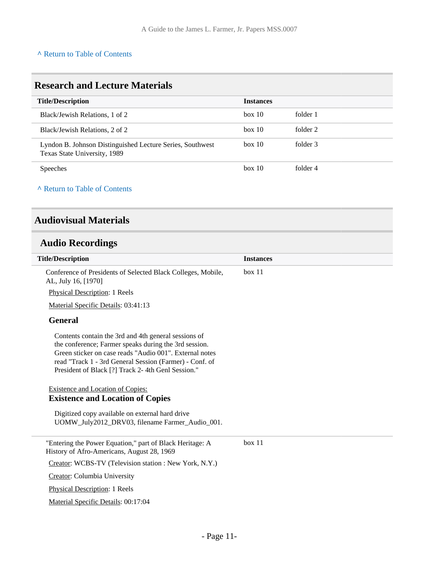#### **^** [Return to Table of Contents](#page-1-0)

### <span id="page-10-0"></span>**Research and Lecture Materials**

| <b>Title/Description</b>                                                                  | <b>Instances</b> |          |
|-------------------------------------------------------------------------------------------|------------------|----------|
| Black/Jewish Relations, 1 of 2                                                            | box 10           | folder 1 |
| Black/Jewish Relations, 2 of 2                                                            | box 10           | folder 2 |
| Lyndon B. Johnson Distinguished Lecture Series, Southwest<br>Texas State University, 1989 | box 10           | folder 3 |
| <b>Speeches</b>                                                                           | box 10           | folder 4 |

#### **^** [Return to Table of Contents](#page-1-0)

### <span id="page-10-1"></span>**Audiovisual Materials**

## <span id="page-10-2"></span>**Audio Recordings**

| <b>Title/Description</b>                                                                                                                                                                                                                                                                 | <b>Instances</b> |
|------------------------------------------------------------------------------------------------------------------------------------------------------------------------------------------------------------------------------------------------------------------------------------------|------------------|
| Conference of Presidents of Selected Black Colleges, Mobile,<br>AL, July 16, [1970]                                                                                                                                                                                                      | box 11           |
| Physical Description: 1 Reels                                                                                                                                                                                                                                                            |                  |
| Material Specific Details: 03:41:13                                                                                                                                                                                                                                                      |                  |
| <b>General</b>                                                                                                                                                                                                                                                                           |                  |
| Contents contain the 3rd and 4th general sessions of<br>the conference; Farmer speaks during the 3rd session.<br>Green sticker on case reads "Audio 001". External notes<br>read "Track 1 - 3rd General Session (Farmer) - Conf. of<br>President of Black [?] Track 2-4th Genl Session." |                  |
| <b>Existence and Location of Copies:</b><br><b>Existence and Location of Copies</b>                                                                                                                                                                                                      |                  |
| Digitized copy available on external hard drive<br>UOMW July2012 DRV03, filename Farmer Audio 001.                                                                                                                                                                                       |                  |
| "Entering the Power Equation," part of Black Heritage: A<br>History of Afro-Americans, August 28, 1969                                                                                                                                                                                   | box 11           |
| Creator: WCBS-TV (Television station : New York, N.Y.)                                                                                                                                                                                                                                   |                  |
| Creator: Columbia University                                                                                                                                                                                                                                                             |                  |
| <b>Physical Description: 1 Reels</b>                                                                                                                                                                                                                                                     |                  |
| Material Specific Details: 00:17:04                                                                                                                                                                                                                                                      |                  |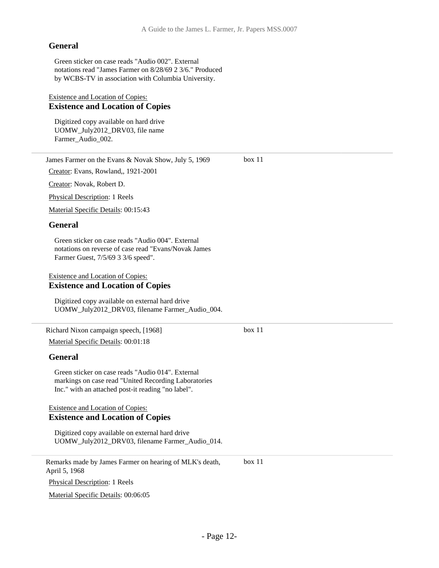box 11

box 11

#### **General**

Green sticker on case reads "Audio 002". External notations read "James Farmer on 8/28/69 2 3/6." Produced by WCBS-TV in association with Columbia University.

#### Existence and Location of Copies: **Existence and Location of Copies**

Digitized copy available on hard drive UOMW\_July2012\_DRV03, file name Farmer Audio 002.

James Farmer on the Evans & Novak Show, July 5, 1969

Creator: Evans, Rowland,, 1921-2001

Creator: Novak, Robert D.

Physical Description: 1 Reels

Material Specific Details: 00:15:43

#### **General**

Green sticker on case reads "Audio 004". External notations on reverse of case read "Evans/Novak James Farmer Guest, 7/5/69 3 3/6 speed".

#### Existence and Location of Copies: **Existence and Location of Copies**

Digitized copy available on external hard drive UOMW\_July2012\_DRV03, filename Farmer\_Audio\_004.

Richard Nixon campaign speech, [1968] Material Specific Details: 00:01:18

#### **General**

Green sticker on case reads "Audio 014". External markings on case read "United Recording Laboratories Inc." with an attached post-it reading "no label".

#### Existence and Location of Copies: **Existence and Location of Copies**

Digitized copy available on external hard drive UOMW\_July2012\_DRV03, filename Farmer\_Audio\_014.

Remarks made by James Farmer on hearing of MLK's death, April 5, 1968 box 11

Physical Description: 1 Reels

Material Specific Details: 00:06:05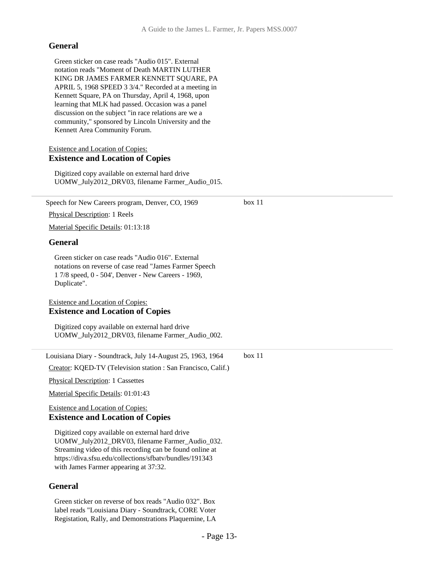#### **General**

Green sticker on case reads "Audio 015". External notation reads "Moment of Death MARTIN LUTHER KING DR JAMES FARMER KENNETT SQUARE, PA APRIL 5, 1968 SPEED 3 3/4." Recorded at a meeting in Kennett Square, PA on Thursday, April 4, 1968, upon learning that MLK had passed. Occasion was a panel discussion on the subject "in race relations are we a community," sponsored by Lincoln University and the Kennett Area Community Forum.

#### Existence and Location of Copies: **Existence and Location of Copies**

Digitized copy available on external hard drive UOMW\_July2012\_DRV03, filename Farmer\_Audio\_015.

| Speech for New Careers program, Denver, CO, 1969                                                                                                                                                                                                                   | box 11 |
|--------------------------------------------------------------------------------------------------------------------------------------------------------------------------------------------------------------------------------------------------------------------|--------|
| <b>Physical Description: 1 Reels</b>                                                                                                                                                                                                                               |        |
| Material Specific Details: 01:13:18                                                                                                                                                                                                                                |        |
| <b>General</b>                                                                                                                                                                                                                                                     |        |
| Green sticker on case reads "Audio 016". External<br>notations on reverse of case read "James Farmer Speech<br>17/8 speed, 0 - 504', Denver - New Careers - 1969,<br>Duplicate".                                                                                   |        |
| <b>Existence and Location of Copies:</b>                                                                                                                                                                                                                           |        |
| <b>Existence and Location of Copies</b>                                                                                                                                                                                                                            |        |
| Digitized copy available on external hard drive<br>UOMW_July2012_DRV03, filename Farmer_Audio_002.                                                                                                                                                                 |        |
| Louisiana Diary - Soundtrack, July 14-August 25, 1963, 1964                                                                                                                                                                                                        | box 11 |
| Creator: KQED-TV (Television station : San Francisco, Calif.)                                                                                                                                                                                                      |        |
| <b>Physical Description: 1 Cassettes</b>                                                                                                                                                                                                                           |        |
| Material Specific Details: 01:01:43                                                                                                                                                                                                                                |        |
| <b>Existence and Location of Copies:</b>                                                                                                                                                                                                                           |        |
| <b>Existence and Location of Copies</b>                                                                                                                                                                                                                            |        |
| Digitized copy available on external hard drive<br>UOMW_July2012_DRV03, filename Farmer_Audio_032.<br>Streaming video of this recording can be found online at<br>https://diva.sfsu.edu/collections/sfbatv/bundles/191343<br>with James Farmer appearing at 37:32. |        |
| <b>General</b>                                                                                                                                                                                                                                                     |        |
| Green sticker on reverse of box reads "Audio 032". Box                                                                                                                                                                                                             |        |

label reads "Louisiana Diary - Soundtrack, CORE Voter Registation, Rally, and Demonstrations Plaquemine, LA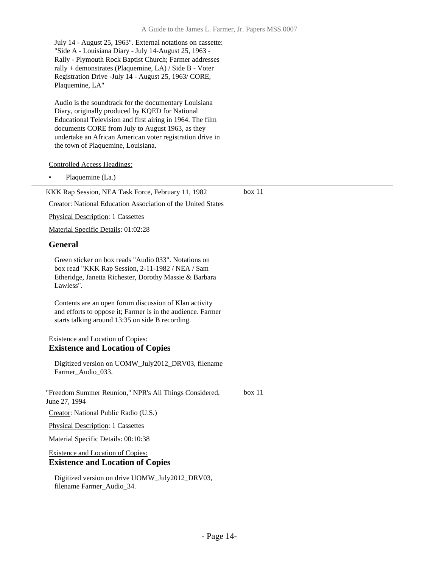July 14 - August 25, 1963". External notations on cassette: "Side A - Louisiana Diary - July 14-August 25, 1963 - Rally - Plymouth Rock Baptist Church; Farmer addresses rally + demonstrates (Plaquemine, LA) / Side B - Voter Registration Drive -July 14 - August 25, 1963/ CORE, Plaquemine, LA"

Audio is the soundtrack for the documentary Louisiana Diary, originally produced by KQED for National Educational Television and first airing in 1964. The film documents CORE from July to August 1963, as they undertake an African American voter registration drive in the town of Plaquemine, Louisiana.

Controlled Access Headings:

Plaquemine (La.)

box 11

Creator: National Education Association of the United States

KKK Rap Session, NEA Task Force, February 11, 1982

Physical Description: 1 Cassettes

Material Specific Details: 01:02:28

#### **General**

Green sticker on box reads "Audio 033". Notations on box read "KKK Rap Session, 2-11-1982 / NEA / Sam Etheridge, Janetta Richester, Dorothy Massie & Barbara Lawless".

Contents are an open forum discussion of Klan activity and efforts to oppose it; Farmer is in the audience. Farmer starts talking around 13:35 on side B recording.

#### Existence and Location of Copies: **Existence and Location of Copies**

Digitized version on UOMW\_July2012\_DRV03, filename Farmer\_Audio\_033.

"Freedom Summer Reunion," NPR's All Things Considered, June 27, 1994 box 11

Creator: National Public Radio (U.S.)

Physical Description: 1 Cassettes

Material Specific Details: 00:10:38

#### Existence and Location of Copies: **Existence and Location of Copies**

Digitized version on drive UOMW\_July2012\_DRV03, filename Farmer\_Audio\_34.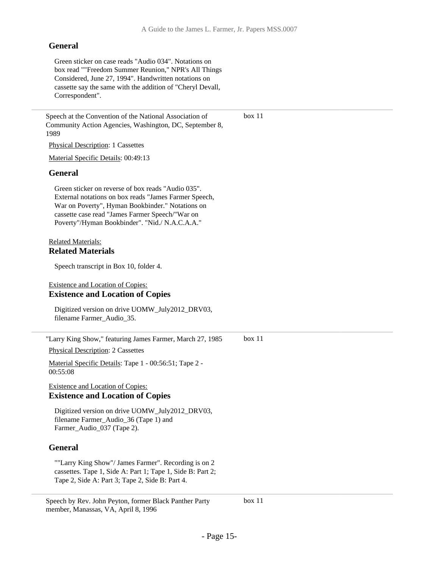box 11

#### **General**

Green sticker on case reads "Audio 034". Notations on box read ""Freedom Summer Reunion," NPR's All Things Considered, June 27, 1994". Handwritten notations on cassette say the same with the addition of "Cheryl Devall, Correspondent".

Speech at the Convention of the National Association of Community Action Agencies, Washington, DC, September 8, 1989

Physical Description: 1 Cassettes

Material Specific Details: 00:49:13

#### **General**

Green sticker on reverse of box reads "Audio 035". External notations on box reads "James Farmer Speech, War on Poverty", Hyman Bookbinder." Notations on cassette case read "James Farmer Speech/"War on Poverty"/Hyman Bookbinder". "Nid./ N.A.C.A.A."

#### Related Materials: **Related Materials**

Speech transcript in Box 10, folder 4.

#### Existence and Location of Copies: **Existence and Location of Copies**

Digitized version on drive UOMW\_July2012\_DRV03, filename Farmer\_Audio\_35.

"Larry King Show," featuring James Farmer, March 27, 1985 box 11

Physical Description: 2 Cassettes

Material Specific Details: Tape 1 - 00:56:51; Tape 2 - 00:55:08

#### Existence and Location of Copies: **Existence and Location of Copies**

Digitized version on drive UOMW\_July2012\_DRV03, filename Farmer\_Audio\_36 (Tape 1) and Farmer\_Audio\_037 (Tape 2).

#### **General**

""Larry King Show"/ James Farmer". Recording is on 2 cassettes. Tape 1, Side A: Part 1; Tape 1, Side B: Part 2; Tape 2, Side A: Part 3; Tape 2, Side B: Part 4.

Speech by Rev. John Peyton, former Black Panther Party member, Manassas, VA, April 8, 1996

box 11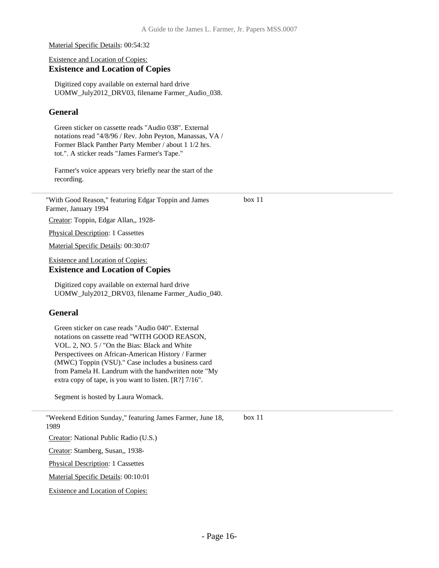Material Specific Details: 00:54:32

#### Existence and Location of Copies: **Existence and Location of Copies**

Digitized copy available on external hard drive UOMW\_July2012\_DRV03, filename Farmer\_Audio\_038.

#### **General**

Green sticker on cassette reads "Audio 038". External notations read "4/8/96 / Rev. John Peyton, Manassas, VA / Former Black Panther Party Member / about 1 1/2 hrs. tot.". A sticker reads "James Farmer's Tape."

Farmer's voice appears very briefly near the start of the recording.

"With Good Reason," featuring Edgar Toppin and James Farmer, January 1994

box 11

Creator: Toppin, Edgar Allan,, 1928-

Physical Description: 1 Cassettes

Material Specific Details: 00:30:07

Existence and Location of Copies: **Existence and Location of Copies**

Digitized copy available on external hard drive UOMW\_July2012\_DRV03, filename Farmer\_Audio\_040.

#### **General**

1989

Green sticker on case reads "Audio 040". External notations on cassette read "WITH GOOD REASON, VOL. 2, NO. 5 / "On the Bias: Black and White Perspectivees on African-American History / Farmer (MWC) Toppin (VSU)." Case includes a business card from Pamela H. Landrum with the handwritten note "My extra copy of tape, is you want to listen. [R?] 7/16".

Segment is hosted by Laura Womack.

"Weekend Edition Sunday," featuring James Farmer, June 18, box 11

Creator: National Public Radio (U.S.)

Creator: Stamberg, Susan,, 1938-

Physical Description: 1 Cassettes

Material Specific Details: 00:10:01

Existence and Location of Copies: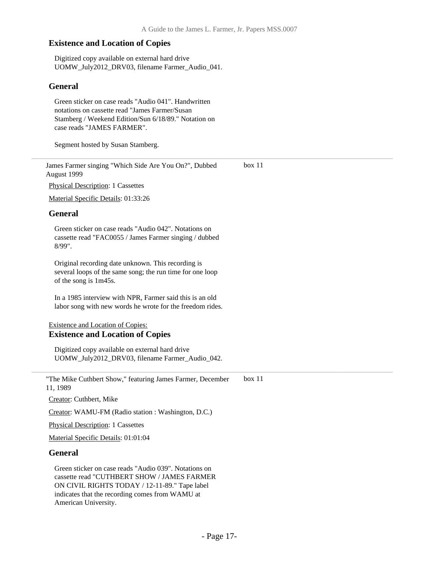Digitized copy available on external hard drive UOMW\_July2012\_DRV03, filename Farmer\_Audio\_041.

#### **General**

Green sticker on case reads "Audio 041". Handwritten notations on cassette read "James Farmer/Susan Stamberg / Weekend Edition/Sun 6/18/89." Notation on case reads "JAMES FARMER".

Segment hosted by Susan Stamberg.

James Farmer singing "Which Side Are You On?", Dubbed August 1999 box 11

Physical Description: 1 Cassettes

Material Specific Details: 01:33:26

#### **General**

Green sticker on case reads "Audio 042". Notations on cassette read "FAC0055 / James Farmer singing / dubbed 8/99".

Original recording date unknown. This recording is several loops of the same song; the run time for one loop of the song is 1m45s.

In a 1985 interview with NPR, Farmer said this is an old labor song with new words he wrote for the freedom rides.

#### Existence and Location of Copies: **Existence and Location of Copies**

Digitized copy available on external hard drive UOMW\_July2012\_DRV03, filename Farmer\_Audio\_042.

"The Mike Cuthbert Show," featuring James Farmer, December 11, 1989 box 11

Creator: Cuthbert, Mike

Creator: WAMU-FM (Radio station : Washington, D.C.)

Physical Description: 1 Cassettes

Material Specific Details: 01:01:04

#### **General**

Green sticker on case reads "Audio 039". Notations on cassette read "CUTHBERT SHOW / JAMES FARMER ON CIVIL RIGHTS TODAY / 12-11-89." Tape label indicates that the recording comes from WAMU at American University.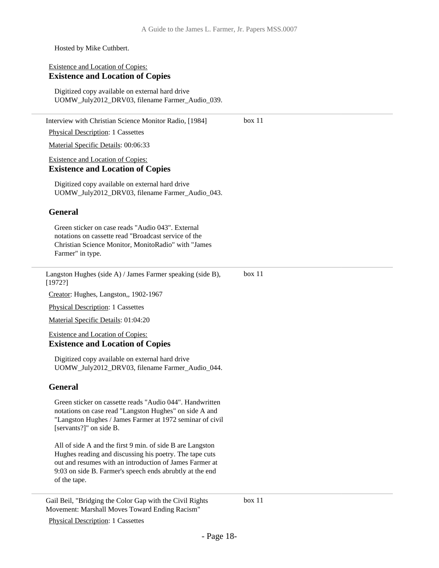Hosted by Mike Cuthbert.

#### Existence and Location of Copies: **Existence and Location of Copies**

Digitized copy available on external hard drive UOMW\_July2012\_DRV03, filename Farmer\_Audio\_039.

Interview with Christian Science Monitor Radio, [1984] Physical Description: 1 Cassettes Material Specific Details: 00:06:33 Existence and Location of Copies: **Existence and Location of Copies** Digitized copy available on external hard drive UOMW\_July2012\_DRV03, filename Farmer\_Audio\_043. **General** Green sticker on case reads "Audio 043". External notations on cassette read "Broadcast service of the Christian Science Monitor, MonitoRadio" with "James Farmer" in type. box 11 Langston Hughes (side A) / James Farmer speaking (side B), [1972?] Creator: Hughes, Langston,, 1902-1967 Physical Description: 1 Cassettes Material Specific Details: 01:04:20 Existence and Location of Copies: **Existence and Location of Copies** Digitized copy available on external hard drive UOMW\_July2012\_DRV03, filename Farmer\_Audio\_044. **General** Green sticker on cassette reads "Audio 044". Handwritten notations on case read "Langston Hughes" on side A and "Langston Hughes / James Farmer at 1972 seminar of civil [servants?]" on side B. All of side A and the first 9 min. of side B are Langston Hughes reading and discussing his poetry. The tape cuts out and resumes with an introduction of James Farmer at 9:03 on side B. Farmer's speech ends abrubtly at the end of the tape. box 11

Gail Beil, "Bridging the Color Gap with the Civil Rights Movement: Marshall Moves Toward Ending Racism"

box 11

Physical Description: 1 Cassettes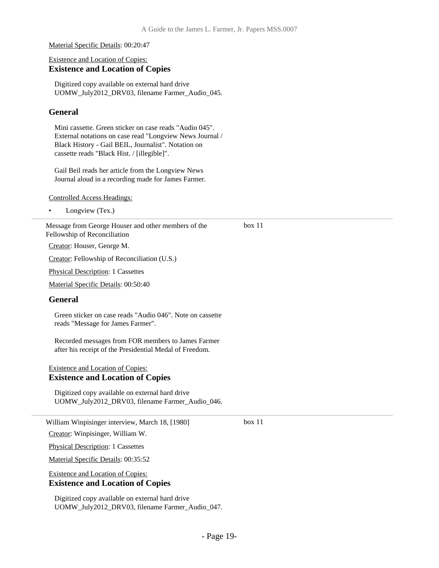Material Specific Details: 00:20:47

#### Existence and Location of Copies: **Existence and Location of Copies**

Digitized copy available on external hard drive UOMW\_July2012\_DRV03, filename Farmer\_Audio\_045.

#### **General**

Mini cassette. Green sticker on case reads "Audio 045". External notations on case read "Longview News Journal / Black History - Gail BEIL, Journalist". Notation on cassette reads "Black Hist. / [illegible]".

Gail Beil reads her article from the Longview News Journal aloud in a recording made for James Farmer.

Controlled Access Headings:

• Longview (Tex.)

Message from George Houser and other members of the Fellowship of Reconciliation

Creator: Houser, George M.

Creator: Fellowship of Reconciliation (U.S.)

Physical Description: 1 Cassettes

Material Specific Details: 00:50:40

#### **General**

Green sticker on case reads "Audio 046". Note on cassette reads "Message for James Farmer".

Recorded messages from FOR members to James Farmer after his receipt of the Presidential Medal of Freedom.

#### Existence and Location of Copies: **Existence and Location of Copies**

Digitized copy available on external hard drive UOMW\_July2012\_DRV03, filename Farmer\_Audio\_046.

William Winpisinger interview, March 18, [1980]

Creator: Winpisinger, William W.

Physical Description: 1 Cassettes

Material Specific Details: 00:35:52

Existence and Location of Copies:

#### **Existence and Location of Copies**

Digitized copy available on external hard drive UOMW\_July2012\_DRV03, filename Farmer\_Audio\_047. box 11

box 11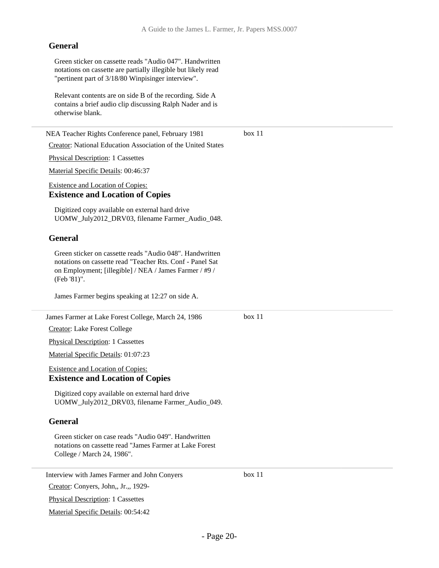#### **General**

Green sticker on cassette reads "Audio 047". Handwritten notations on cassette are partially illegible but likely read "pertinent part of 3/18/80 Winpisinger interview".

Relevant contents are on side B of the recording. Side A contains a brief audio clip discussing Ralph Nader and is otherwise blank.

NEA Teacher Rights Conference panel, February 1981 Creator: National Education Association of the United States Physical Description: 1 Cassettes Material Specific Details: 00:46:37 Existence and Location of Copies: **Existence and Location of Copies** Digitized copy available on external hard drive UOMW\_July2012\_DRV03, filename Farmer\_Audio\_048. **General** Green sticker on cassette reads "Audio 048". Handwritten notations on cassette read "Teacher Rts. Conf - Panel Sat on Employment; [illegible] / NEA / James Farmer / #9 / (Feb '81)". James Farmer begins speaking at 12:27 on side A. box 11 James Farmer at Lake Forest College, March 24, 1986 Creator: Lake Forest College Physical Description: 1 Cassettes Material Specific Details: 01:07:23 Existence and Location of Copies: **Existence and Location of Copies** Digitized copy available on external hard drive UOMW\_July2012\_DRV03, filename Farmer\_Audio\_049. **General** Green sticker on case reads "Audio 049". Handwritten notations on cassette read "James Farmer at Lake Forest College / March 24, 1986". box 11

Interview with James Farmer and John Conyers

Creator: Conyers, John,, Jr.,, 1929-

Physical Description: 1 Cassettes

Material Specific Details: 00:54:42

box 11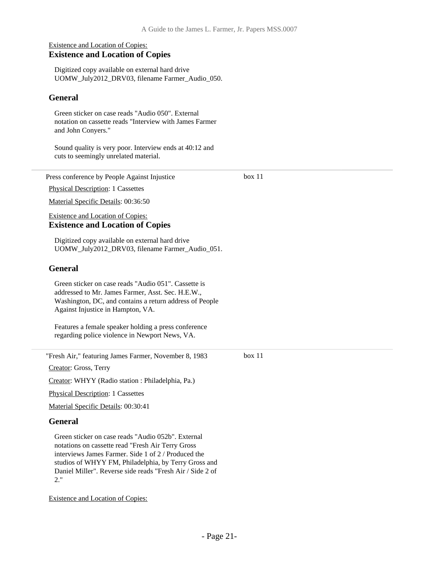box 11

box 11

#### Existence and Location of Copies: **Existence and Location of Copies**

Digitized copy available on external hard drive UOMW\_July2012\_DRV03, filename Farmer\_Audio\_050.

#### **General**

Green sticker on case reads "Audio 050". External notation on cassette reads "Interview with James Farmer and John Conyers."

Sound quality is very poor. Interview ends at 40:12 and cuts to seemingly unrelated material.

Press conference by People Against Injustice

Physical Description: 1 Cassettes

Material Specific Details: 00:36:50

#### Existence and Location of Copies: **Existence and Location of Copies**

Digitized copy available on external hard drive UOMW\_July2012\_DRV03, filename Farmer\_Audio\_051.

#### **General**

Green sticker on case reads "Audio 051". Cassette is addressed to Mr. James Farmer, Asst. Sec. H.E.W., Washington, DC, and contains a return address of People Against Injustice in Hampton, VA.

Features a female speaker holding a press conference regarding police violence in Newport News, VA.

"Fresh Air," featuring James Farmer, November 8, 1983

Creator: Gross, Terry

Creator: WHYY (Radio station : Philadelphia, Pa.)

Physical Description: 1 Cassettes

Material Specific Details: 00:30:41

#### **General**

Green sticker on case reads "Audio 052b". External notations on cassette read "Fresh Air Terry Gross interviews James Farmer. Side 1 of 2 / Produced the studios of WHYY FM, Philadelphia, by Terry Gross and Daniel Miller". Reverse side reads "Fresh Air / Side 2 of 2."

Existence and Location of Copies: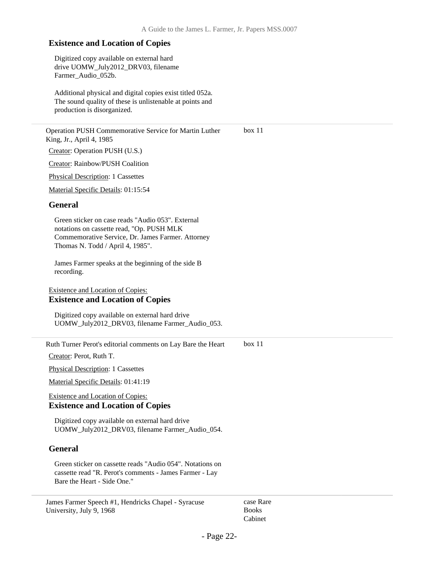Digitized copy available on external hard drive UOMW\_July2012\_DRV03, filename Farmer\_Audio\_052b.

Additional physical and digital copies exist titled 052a. The sound quality of these is unlistenable at points and production is disorganized.

Operation PUSH Commemorative Service for Martin Luther King, Jr., April 4, 1985 Creator: Operation PUSH (U.S.) box 11

Creator: Rainbow/PUSH Coalition

Physical Description: 1 Cassettes

Material Specific Details: 01:15:54

#### **General**

Green sticker on case reads "Audio 053". External notations on cassette read, "Op. PUSH MLK Commemorative Service, Dr. James Farmer. Attorney Thomas N. Todd / April 4, 1985".

James Farmer speaks at the beginning of the side B recording.

#### Existence and Location of Copies: **Existence and Location of Copies**

Digitized copy available on external hard drive UOMW\_July2012\_DRV03, filename Farmer\_Audio\_053.

Ruth Turner Perot's editorial comments on Lay Bare the Heart box 11

Creator: Perot, Ruth T.

Physical Description: 1 Cassettes

Material Specific Details: 01:41:19

#### Existence and Location of Copies: **Existence and Location of Copies**

Digitized copy available on external hard drive UOMW\_July2012\_DRV03, filename Farmer\_Audio\_054.

#### **General**

Green sticker on cassette reads "Audio 054". Notations on cassette read "R. Perot's comments - James Farmer - Lay Bare the Heart - Side One."

James Farmer Speech #1, Hendricks Chapel - Syracuse University, July 9, 1968

case Rare Books Cabinet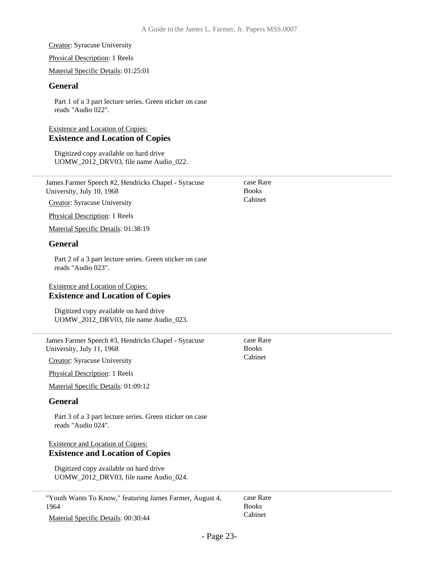Creator: Syracuse University

Physical Description: 1 Reels

Material Specific Details: 01:25:01

#### **General**

Part 1 of a 3 part lecture series. Green sticker on case reads "Audio 022".

#### Existence and Location of Copies: **Existence and Location of Copies**

Digitized copy available on hard drive UOMW\_2012\_DRV03, file name Audio\_022.

| James Farmer Speech #2, Hendricks Chapel - Syracuse |  |
|-----------------------------------------------------|--|
| University, July 10, 1968                           |  |

Creator: Syracuse University

Physical Description: 1 Reels

Material Specific Details: 01:38:19

#### **General**

Part 2 of a 3 part lecture series. Green sticker on case reads "Audio 023".

#### Existence and Location of Copies: **Existence and Location of Copies**

Digitized copy available on hard drive UOMW\_2012\_DRV03, file name Audio\_023.

James Farmer Speech #3, Hendricks Chapel - Syracuse University, July 11, 1968

Creator: Syracuse University

Physical Description: 1 Reels

Material Specific Details: 01:09:12

#### **General**

Part 3 of a 3 part lecture series. Green sticker on case reads "Audio 024".

#### Existence and Location of Copies: **Existence and Location of Copies**

Digitized copy available on hard drive UOMW\_2012\_DRV03, file name Audio\_024.

"Youth Wants To Know," featuring James Farmer, August 4, 1964

Material Specific Details: 00:30:44

case Rare Books Cabinet

Cabinet

case Rare **Books** Cabinet

case Rare Books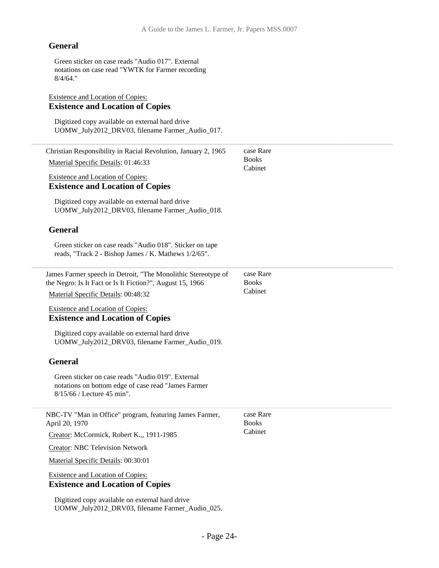#### **General**

Green sticker on case reads "Audio 017". External notations on case read "YWTK for Farmer recording 8/4/64."

#### Existence and Location of Copies: **Existence and Location of Copies**

Digitized copy available on external hard drive UOMW\_July2012\_DRV03, filename Farmer\_Audio\_017.

| Christian Responsibility in Racial Revolution, January 2, 1965                                                                           | case Rare<br><b>Books</b> |
|------------------------------------------------------------------------------------------------------------------------------------------|---------------------------|
| Material Specific Details: 01:46:33                                                                                                      | Cabinet                   |
| <b>Existence and Location of Copies:</b><br><b>Existence and Location of Copies</b>                                                      |                           |
| Digitized copy available on external hard drive<br>UOMW_July2012_DRV03, filename Farmer_Audio_018.                                       |                           |
| <b>General</b>                                                                                                                           |                           |
| Green sticker on case reads "Audio 018". Sticker on tape<br>reads, "Track 2 - Bishop James / K. Mathews 1/2/65".                         |                           |
| James Farmer speech in Detroit, "The Monolithic Stereotype of<br>the Negro: Is It Fact or Is It Fiction?", August 15, 1966               | case Rare<br><b>Books</b> |
| Material Specific Details: 00:48:32                                                                                                      | Cabinet                   |
| <b>Existence and Location of Copies:</b><br><b>Existence and Location of Copies</b>                                                      |                           |
| Digitized copy available on external hard drive<br>UOMW_July2012_DRV03, filename Farmer_Audio_019.                                       |                           |
| <b>General</b>                                                                                                                           |                           |
| Green sticker on case reads "Audio 019". External<br>notations on bottom edge of case read "James Farmer<br>$8/15/66$ / Lecture 45 min". |                           |
| NBC-TV "Man in Office" program, featuring James Farmer,<br>April 20, 1970                                                                | case Rare<br><b>Books</b> |
| Creator: McCormick, Robert K.,, 1911-1985                                                                                                | Cabinet                   |
| <b>Creator: NBC Television Network</b>                                                                                                   |                           |
| Material Specific Details: 00:30:01                                                                                                      |                           |
| <b>Existence and Location of Copies:</b><br><b>Existence and Location of Copies</b>                                                      |                           |
| Digitized copy available on external hard drive<br>UOMW_July2012_DRV03, filename Farmer_Audio_025.                                       |                           |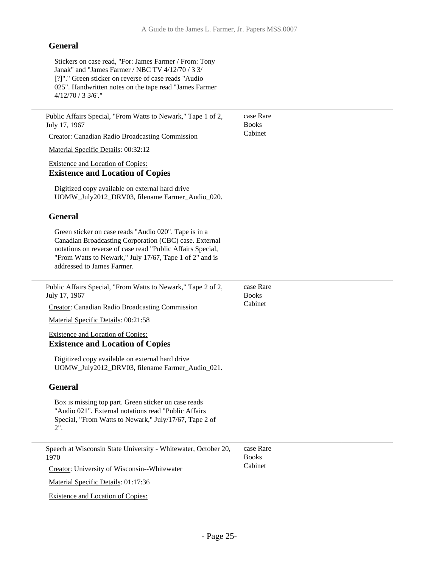#### **General**

Stickers on case read, "For: James Farmer / From: Tony Janak" and "James Farmer / NBC TV 4/12/70 / 3 3/ [?]"." Green sticker on reverse of case reads "Audio 025". Handwritten notes on the tape read "James Farmer 4/12/70 / 3 3/6'."

Public Affairs Special, "From Watts to Newark," Tape 1 of 2, July 17, 1967 Creator: Canadian Radio Broadcasting Commission Material Specific Details: 00:32:12 Existence and Location of Copies: **Existence and Location of Copies** Digitized copy available on external hard drive UOMW\_July2012\_DRV03, filename Farmer\_Audio\_020. **General** Green sticker on case reads "Audio 020". Tape is in a Canadian Broadcasting Corporation (CBC) case. External notations on reverse of case read "Public Affairs Special, "From Watts to Newark," July 17/67, Tape 1 of 2" and is addressed to James Farmer. case Rare Books Cabinet Public Affairs Special, "From Watts to Newark," Tape 2 of 2, July 17, 1967 Creator: Canadian Radio Broadcasting Commission case Rare Books Cabinet

Material Specific Details: 00:21:58

#### Existence and Location of Copies: **Existence and Location of Copies**

Digitized copy available on external hard drive UOMW\_July2012\_DRV03, filename Farmer\_Audio\_021.

#### **General**

Box is missing top part. Green sticker on case reads "Audio 021". External notations read "Public Affairs Special, "From Watts to Newark," July/17/67, Tape 2 of 2".

| Speech at Wisconsin State University - Whitewater, October 20,<br>1970 | case Rare<br><b>Books</b> |
|------------------------------------------------------------------------|---------------------------|
| Creator: University of Wisconsin--Whitewater                           | Cabinet                   |
| Material Specific Details: 01:17:36                                    |                           |

Existence and Location of Copies: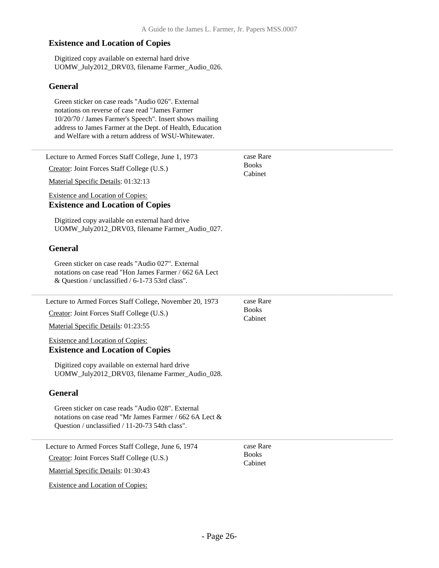Digitized copy available on external hard drive UOMW\_July2012\_DRV03, filename Farmer\_Audio\_026.

#### **General**

Green sticker on case reads "Audio 026". External notations on reverse of case read "James Farmer 10/20/70 / James Farmer's Speech". Insert shows mailing address to James Farmer at the Dept. of Health, Education and Welfare with a return address of WSU-Whitewater.

| Lecture to Armed Forces Staff College, June 1, 1973                                                                                                             | case Rare<br><b>Books</b> |
|-----------------------------------------------------------------------------------------------------------------------------------------------------------------|---------------------------|
| Creator: Joint Forces Staff College (U.S.)                                                                                                                      | Cabinet                   |
| Material Specific Details: 01:32:13                                                                                                                             |                           |
| Existence and Location of Copies:<br><b>Existence and Location of Copies</b>                                                                                    |                           |
| Digitized copy available on external hard drive<br>UOMW_July2012_DRV03, filename Farmer_Audio_027.                                                              |                           |
| <b>General</b>                                                                                                                                                  |                           |
| Green sticker on case reads "Audio 027". External<br>notations on case read "Hon James Farmer / 662 6A Lect<br>& Question / unclassified / 6-1-73 53rd class".  |                           |
| Lecture to Armed Forces Staff College, November 20, 1973                                                                                                        | case Rare                 |
| Creator: Joint Forces Staff College (U.S.)                                                                                                                      | <b>Books</b><br>Cabinet   |
| Material Specific Details: 01:23:55                                                                                                                             |                           |
| <b>Existence and Location of Copies:</b><br><b>Existence and Location of Copies</b>                                                                             |                           |
| Digitized copy available on external hard drive<br>UOMW_July2012_DRV03, filename Farmer_Audio_028.                                                              |                           |
| <b>General</b>                                                                                                                                                  |                           |
| Green sticker on case reads "Audio 028". External<br>notations on case read "Mr James Farmer / 662 6A Lect &<br>Question / unclassified / 11-20-73 54th class". |                           |
| Lecture to Armed Forces Staff College, June 6, 1974                                                                                                             | case Rare                 |
| Creator: Joint Forces Staff College (U.S.)                                                                                                                      | <b>Books</b><br>Cabinet   |
| Material Specific Details: 01:30:43                                                                                                                             |                           |
| <b>Existence and Location of Copies:</b>                                                                                                                        |                           |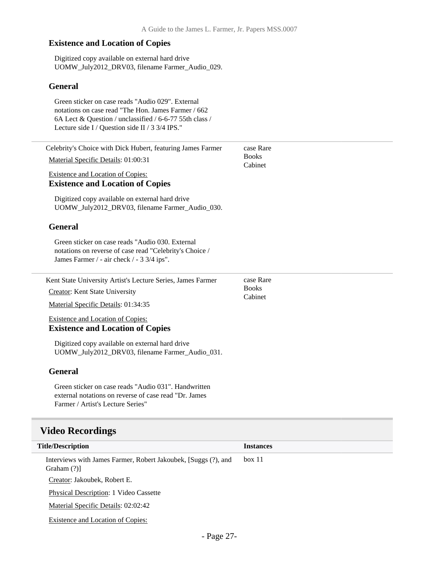Digitized copy available on external hard drive UOMW\_July2012\_DRV03, filename Farmer\_Audio\_029.

#### **General**

| Green sticker on case reads "Audio 029". External<br>notations on case read "The Hon. James Farmer / 662                                                  |                         |
|-----------------------------------------------------------------------------------------------------------------------------------------------------------|-------------------------|
| 6A Lect & Question / unclassified / 6-6-77 55th class /<br>Lecture side I / Question side II / 3 3/4 IPS."                                                |                         |
| Celebrity's Choice with Dick Hubert, featuring James Farmer                                                                                               | case Rare               |
| Material Specific Details: 01:00:31                                                                                                                       | <b>Books</b><br>Cabinet |
| <b>Existence and Location of Copies:</b><br><b>Existence and Location of Copies</b>                                                                       |                         |
| Digitized copy available on external hard drive<br>UOMW_July2012_DRV03, filename Farmer_Audio_030.                                                        |                         |
| <b>General</b>                                                                                                                                            |                         |
| Green sticker on case reads "Audio 030. External<br>notations on reverse of case read "Celebrity's Choice /<br>James Farmer / - air check / - 3 3/4 ips". |                         |
| Kent State University Artist's Lecture Series, James Farmer                                                                                               | case Rare               |
| <b>Creator:</b> Kent State University                                                                                                                     | <b>Books</b><br>Cabinet |
| Material Specific Details: 01:34:35                                                                                                                       |                         |
| <b>Existence and Location of Copies:</b><br><b>Existence and Location of Copies</b>                                                                       |                         |
| Digitized copy available on external hard drive<br>UOMW_July2012_DRV03, filename Farmer_Audio_031.                                                        |                         |
| <b>General</b>                                                                                                                                            |                         |
| Green sticker on case reads "Audio 031". Handwritten<br>external notations on reverse of case read "Dr. James<br>Farmer / Artist's Lecture Series"        |                         |
| <b>Video Recordings</b>                                                                                                                                   |                         |
| <b>Title/Description</b>                                                                                                                                  | <b>Instances</b>        |

Creator: Jakoubek, Robert E.

Graham (?)]

Physical Description: 1 Video Cassette

<span id="page-26-0"></span>Interviews with James Farmer, Robert Jakoubek, [Suggs (?), and

Material Specific Details: 02:02:42

Existence and Location of Copies:

box 11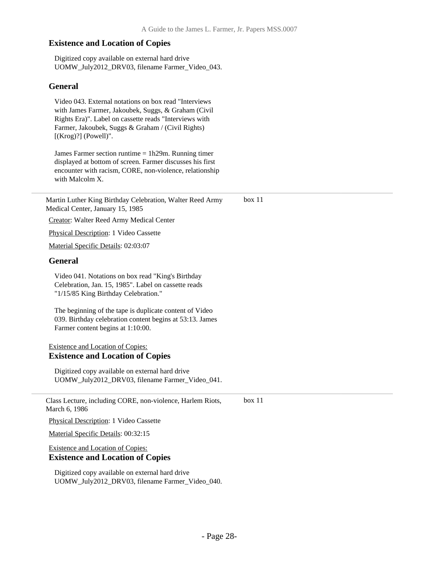Digitized copy available on external hard drive UOMW\_July2012\_DRV03, filename Farmer\_Video\_043.

#### **General**

Video 043. External notations on box read "Interviews with James Farmer, Jakoubek, Suggs, & Graham (Civil Rights Era)". Label on cassette reads "Interviews with Farmer, Jakoubek, Suggs & Graham / (Civil Rights) [(Krog)?] (Powell)".

James Farmer section runtime = 1h29m. Running timer displayed at bottom of screen. Farmer discusses his first encounter with racism, CORE, non-violence, relationship with Malcolm X.

Martin Luther King Birthday Celebration, Walter Reed Army Medical Center, January 15, 1985 box 11

Creator: Walter Reed Army Medical Center

Physical Description: 1 Video Cassette

Material Specific Details: 02:03:07

#### **General**

Video 041. Notations on box read "King's Birthday Celebration, Jan. 15, 1985". Label on cassette reads "1/15/85 King Birthday Celebration."

The beginning of the tape is duplicate content of Video 039. Birthday celebration content begins at 53:13. James Farmer content begins at 1:10:00.

#### Existence and Location of Copies: **Existence and Location of Copies**

Digitized copy available on external hard drive UOMW\_July2012\_DRV03, filename Farmer\_Video\_041.

Class Lecture, including CORE, non-violence, Harlem Riots, March 6, 1986 box 11

Physical Description: 1 Video Cassette

Material Specific Details: 00:32:15

#### Existence and Location of Copies: **Existence and Location of Copies**

Digitized copy available on external hard drive UOMW\_July2012\_DRV03, filename Farmer\_Video\_040.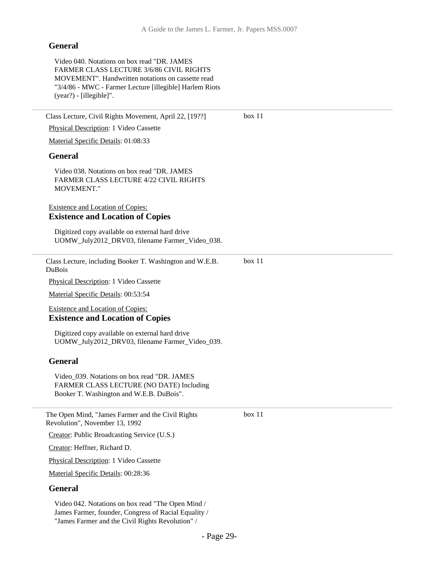#### **General**

Video 040. Notations on box read "DR. JAMES FARMER CLASS LECTURE 3/6/86 CIVIL RIGHTS MOVEMENT". Handwritten notations on cassette read "3/4/86 - MWC - Farmer Lecture [illegible] Harlem Riots (year?) - [illegible]".

Class Lecture, Civil Rights Movement, April 22, [19??] Physical Description: 1 Video Cassette Material Specific Details: 01:08:33 **General** Video 038. Notations on box read "DR. JAMES FARMER CLASS LECTURE 4/22 CIVIL RIGHTS MOVEMENT." Existence and Location of Copies: **Existence and Location of Copies** Digitized copy available on external hard drive UOMW\_July2012\_DRV03, filename Farmer\_Video\_038. box 11 Class Lecture, including Booker T. Washington and W.E.B. DuBois Physical Description: 1 Video Cassette Material Specific Details: 00:53:54 Existence and Location of Copies: **Existence and Location of Copies** Digitized copy available on external hard drive UOMW\_July2012\_DRV03, filename Farmer\_Video\_039. **General** Video\_039. Notations on box read "DR. JAMES FARMER CLASS LECTURE (NO DATE) Including Booker T. Washington and W.E.B. DuBois". box 11 The Open Mind, "James Farmer and the Civil Rights Revolution", November 13, 1992 Creator: Public Broadcasting Service (U.S.) Creator: Heffner, Richard D. Physical Description: 1 Video Cassette Material Specific Details: 00:28:36 box 11

#### **General**

Video 042. Notations on box read "The Open Mind / James Farmer, founder, Congress of Racial Equality / "James Farmer and the Civil Rights Revolution" /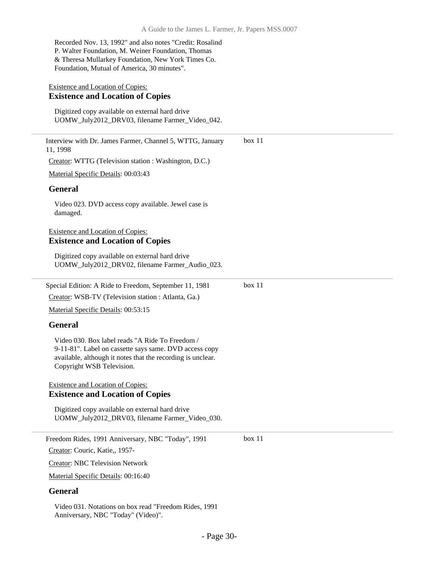Recorded Nov. 13, 1992" and also notes "Credit: Rosalind P. Walter Foundation, M. Weiner Foundation, Thomas & Theresa Mullarkey Foundation, New York Times Co. Foundation, Mutual of America, 30 minutes".

#### Existence and Location of Copies: **Existence and Location of Copies**

Digitized copy available on external hard drive UOMW\_July2012\_DRV03, filename Farmer\_Video\_042.

Interview with Dr. James Farmer, Channel 5, WTTG, January 11, 1998 Creator: WTTG (Television station : Washington, D.C.) Material Specific Details: 00:03:43 **General** Video 023. DVD access copy available. Jewel case is damaged. Existence and Location of Copies: **Existence and Location of Copies** Digitized copy available on external hard drive UOMW\_July2012\_DRV02, filename Farmer\_Audio\_023. box 11 Special Edition: A Ride to Freedom, September 11, 1981 Creator: WSB-TV (Television station : Atlanta, Ga.) Material Specific Details: 00:53:15 **General** Video 030. Box label reads "A Ride To Freedom / 9-11-81". Label on cassette says same. DVD access copy available, although it notes that the recording is unclear. Copyright WSB Television. Existence and Location of Copies: **Existence and Location of Copies** Digitized copy available on external hard drive UOMW\_July2012\_DRV03, filename Farmer\_Video\_030. box 11 Freedom Rides, 1991 Anniversary, NBC "Today", 1991 Creator: Couric, Katie,, 1957- Creator: NBC Television Network box 11

Material Specific Details: 00:16:40

#### **General**

Video 031. Notations on box read "Freedom Rides, 1991 Anniversary, NBC "Today" (Video)".